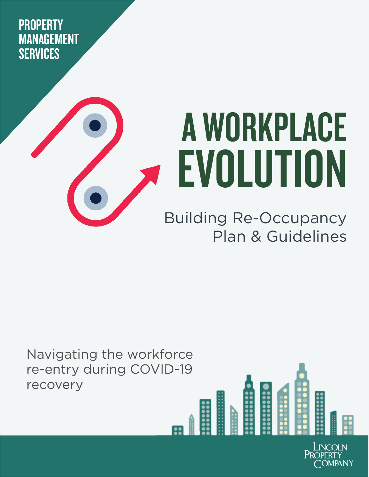**PROPERTY** MANAGEMENT **SERVICES** 



# A WORKPLACE EVOLUTION

### Building Re-Occupancy Plan & Guidelines

Navigating the workforce re-entry during COVID-19 recovery

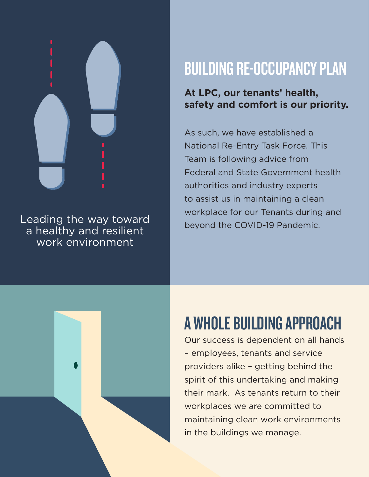

Leading the way toward a healthy and resilient work environment

### BUILDING RE-OCCUPANCY PLAN

### **At LPC, our tenants' health, safety and comfort is our priority.**

As such, we have established a National Re-Entry Task Force. This Team is following advice from Federal and State Government health authorities and industry experts to assist us in maintaining a clean workplace for our Tenants during and beyond the COVID-19 Pandemic.



## A WHOLE BUILDING APPROACH

Our success is dependent on all hands – employees, tenants and service providers alike – getting behind the spirit of this undertaking and making their mark. As tenants return to their workplaces we are committed to maintaining clean work environments in the buildings we manage.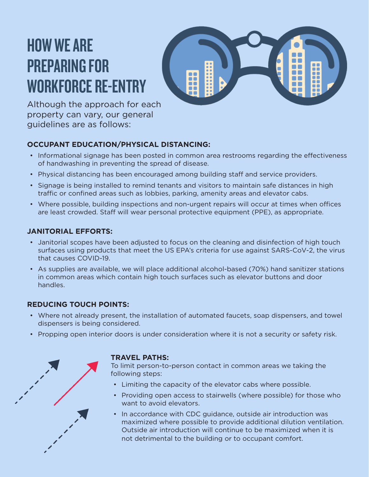### HOW WE ARE PREPARING FOR WORKFORCE RE-ENTRY



Although the approach for each property can vary, our general guidelines are as follows:

#### **OCCUPANT EDUCATION/PHYSICAL DISTANCING:**

- Informational signage has been posted in common area restrooms regarding the effectiveness of handwashing in preventing the spread of disease.
- Physical distancing has been encouraged among building staff and service providers.
- Signage is being installed to remind tenants and visitors to maintain safe distances in high traffic or confined areas such as lobbies, parking, amenity areas and elevator cabs.
- Where possible, building inspections and non-urgent repairs will occur at times when offices are least crowded. Staff will wear personal protective equipment (PPE), as appropriate.

#### **JANITORIAL EFFORTS:**

- Janitorial scopes have been adjusted to focus on the cleaning and disinfection of high touch surfaces using products that meet the US EPA's criteria for use against SARS-CoV-2, the virus that causes COVID-19.
- As supplies are available, we will place additional alcohol-based (70%) hand sanitizer stations in common areas which contain high touch surfaces such as elevator buttons and door handles.

#### **REDUCING TOUCH POINTS:**

- Where not already present, the installation of automated faucets, soap dispensers, and towel dispensers is being considered.
- Propping open interior doors is under consideration where it is not a security or safety risk.



#### **TRAVEL PATHS:**

To limit person-to-person contact in common areas we taking the following steps:

- Limiting the capacity of the elevator cabs where possible.
- Providing open access to stairwells (where possible) for those who want to avoid elevators.
- In accordance with CDC guidance, outside air introduction was maximized where possible to provide additional dilution ventilation. Outside air introduction will continue to be maximized when it is not detrimental to the building or to occupant comfort.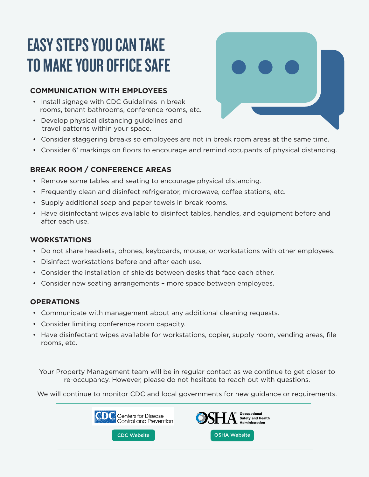### EASY STEPS YOU CAN TAKE TO MAKE YOUR OFFICE SAFE

#### **COMMUNICATION WITH EMPLOYEES**

- Install signage with CDC Guidelines in break rooms, tenant bathrooms, conference rooms, etc.
- Develop physical distancing guidelines and travel patterns within your space.
- Consider staggering breaks so employees are not in break room areas at the same time.
- Consider 6' markings on floors to encourage and remind occupants of physical distancing.

#### **BREAK ROOM / CONFERENCE AREAS**

- Remove some tables and seating to encourage physical distancing.
- Frequently clean and disinfect refrigerator, microwave, coffee stations, etc.
- Supply additional soap and paper towels in break rooms.
- Have disinfectant wipes available to disinfect tables, handles, and equipment before and after each use.

#### **WORKSTATIONS**

- Do not share headsets, phones, keyboards, mouse, or workstations with other employees.
- Disinfect workstations before and after each use.
- Consider the installation of shields between desks that face each other.
- Consider new seating arrangements more space between employees.

#### **OPERATIONS**

- Communicate with management about any additional cleaning requests.
- Consider limiting conference room capacity.
- Have disinfectant wipes available for workstations, copier, supply room, vending areas, file rooms, etc.

Your Property Management team will be in regular contact as we continue to get closer to re-occupancy. However, please do not hesitate to reach out with questions.

We will continue to monitor CDC and local governments for new guidance or requirements.